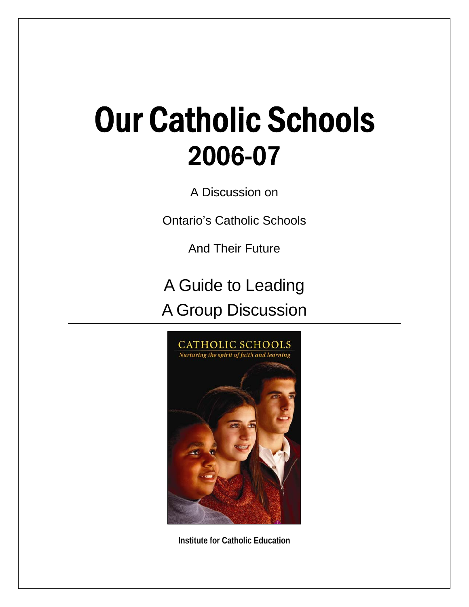# Our Catholic Schools 2006-07

A Discussion on

Ontario's Catholic Schools

And Their Future

A Guide to Leading A Group Discussion



**Institute for Catholic Education**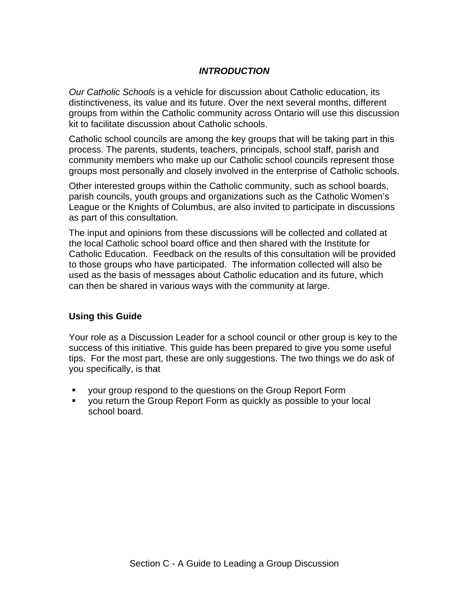# *INTRODUCTION*

*Our Catholic Schools* is a vehicle for discussion about Catholic education, its distinctiveness, its value and its future. Over the next several months, different groups from within the Catholic community across Ontario will use this discussion kit to facilitate discussion about Catholic schools.

Catholic school councils are among the key groups that will be taking part in this process. The parents, students, teachers, principals, school staff, parish and community members who make up our Catholic school councils represent those groups most personally and closely involved in the enterprise of Catholic schools.

Other interested groups within the Catholic community, such as school boards, parish councils, youth groups and organizations such as the Catholic Women's League or the Knights of Columbus, are also invited to participate in discussions as part of this consultation.

The input and opinions from these discussions will be collected and collated at the local Catholic school board office and then shared with the Institute for Catholic Education. Feedback on the results of this consultation will be provided to those groups who have participated. The information collected will also be used as the basis of messages about Catholic education and its future, which can then be shared in various ways with the community at large.

## **Using this Guide**

Your role as a Discussion Leader for a school council or other group is key to the success of this initiative. This guide has been prepared to give you some useful tips. For the most part, these are only suggestions. The two things we do ask of you specifically, is that

- your group respond to the questions on the Group Report Form
- you return the Group Report Form as quickly as possible to your local school board.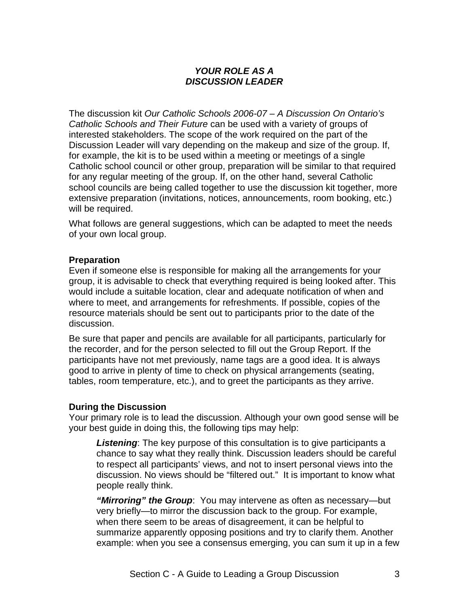# *YOUR ROLE AS A DISCUSSION LEADER*

The discussion kit *Our Catholic Schools 2006-07 – A Discussion On Ontario's Catholic Schools and Their Future* can be used with a variety of groups of interested stakeholders. The scope of the work required on the part of the Discussion Leader will vary depending on the makeup and size of the group. If, for example, the kit is to be used within a meeting or meetings of a single Catholic school council or other group, preparation will be similar to that required for any regular meeting of the group. If, on the other hand, several Catholic school councils are being called together to use the discussion kit together, more extensive preparation (invitations, notices, announcements, room booking, etc.) will be required.

What follows are general suggestions, which can be adapted to meet the needs of your own local group.

#### **Preparation**

Even if someone else is responsible for making all the arrangements for your group, it is advisable to check that everything required is being looked after. This would include a suitable location, clear and adequate notification of when and where to meet, and arrangements for refreshments. If possible, copies of the resource materials should be sent out to participants prior to the date of the discussion.

Be sure that paper and pencils are available for all participants, particularly for the recorder, and for the person selected to fill out the Group Report. If the participants have not met previously, name tags are a good idea. It is always good to arrive in plenty of time to check on physical arrangements (seating, tables, room temperature, etc.), and to greet the participants as they arrive.

## **During the Discussion**

Your primary role is to lead the discussion. Although your own good sense will be your best guide in doing this, the following tips may help:

*Listening*: The key purpose of this consultation is to give participants a chance to say what they really think. Discussion leaders should be careful to respect all participants' views, and not to insert personal views into the discussion. No views should be "filtered out." It is important to know what people really think.

*"Mirroring" the Group*: You may intervene as often as necessary—but very briefly—to mirror the discussion back to the group. For example, when there seem to be areas of disagreement, it can be helpful to summarize apparently opposing positions and try to clarify them. Another example: when you see a consensus emerging, you can sum it up in a few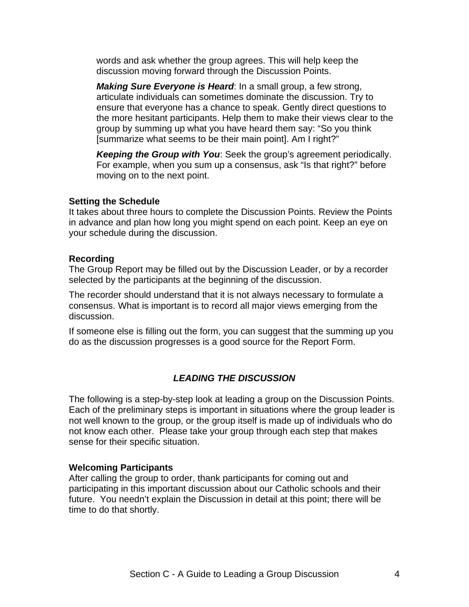words and ask whether the group agrees. This will help keep the discussion moving forward through the Discussion Points.

*Making Sure Everyone is Heard*: In a small group, a few strong, articulate individuals can sometimes dominate the discussion. Try to ensure that everyone has a chance to speak. Gently direct questions to the more hesitant participants. Help them to make their views clear to the group by summing up what you have heard them say: "So you think [summarize what seems to be their main point]. Am I right?"

*Keeping the Group with You*: Seek the group's agreement periodically. For example, when you sum up a consensus, ask "Is that right?" before moving on to the next point.

#### **Setting the Schedule**

It takes about three hours to complete the Discussion Points. Review the Points in advance and plan how long you might spend on each point. Keep an eye on your schedule during the discussion.

#### **Recording**

The Group Report may be filled out by the Discussion Leader, or by a recorder selected by the participants at the beginning of the discussion.

The recorder should understand that it is not always necessary to formulate a consensus. What is important is to record all major views emerging from the discussion.

If someone else is filling out the form, you can suggest that the summing up you do as the discussion progresses is a good source for the Report Form.

# *LEADING THE DISCUSSION*

The following is a step-by-step look at leading a group on the Discussion Points. Each of the preliminary steps is important in situations where the group leader is not well known to the group, or the group itself is made up of individuals who do not know each other. Please take your group through each step that makes sense for their specific situation.

## **Welcoming Participants**

After calling the group to order, thank participants for coming out and participating in this important discussion about our Catholic schools and their future. You needn't explain the Discussion in detail at this point; there will be time to do that shortly.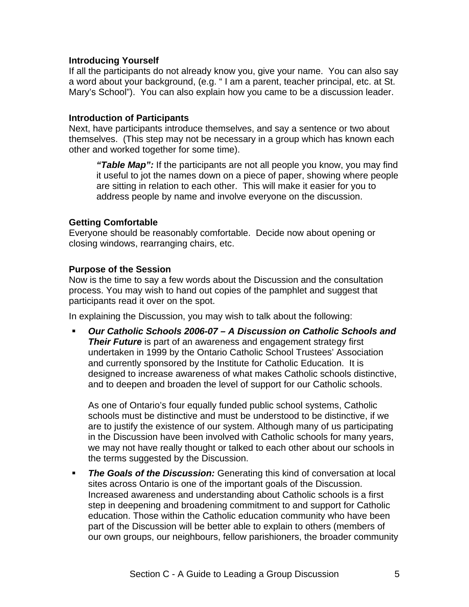## **Introducing Yourself**

If all the participants do not already know you, give your name. You can also say a word about your background, (e.g. " I am a parent, teacher principal, etc. at St. Mary's School"). You can also explain how you came to be a discussion leader.

#### **Introduction of Participants**

Next, have participants introduce themselves, and say a sentence or two about themselves. (This step may not be necessary in a group which has known each other and worked together for some time).

*"Table Map":* If the participants are not all people you know, you may find it useful to jot the names down on a piece of paper, showing where people are sitting in relation to each other. This will make it easier for you to address people by name and involve everyone on the discussion.

#### **Getting Comfortable**

Everyone should be reasonably comfortable. Decide now about opening or closing windows, rearranging chairs, etc.

#### **Purpose of the Session**

Now is the time to say a few words about the Discussion and the consultation process. You may wish to hand out copies of the pamphlet and suggest that participants read it over on the spot.

In explaining the Discussion, you may wish to talk about the following:

 *Our Catholic Schools 2006-07 – A Discussion on Catholic Schools and Their Future* is part of an awareness and engagement strategy first undertaken in 1999 by the Ontario Catholic School Trustees' Association and currently sponsored by the Institute for Catholic Education. It is designed to increase awareness of what makes Catholic schools distinctive, and to deepen and broaden the level of support for our Catholic schools.

As one of Ontario's four equally funded public school systems, Catholic schools must be distinctive and must be understood to be distinctive, if we are to justify the existence of our system. Although many of us participating in the Discussion have been involved with Catholic schools for many years, we may not have really thought or talked to each other about our schools in the terms suggested by the Discussion.

 *The Goals of the Discussion:* Generating this kind of conversation at local sites across Ontario is one of the important goals of the Discussion. Increased awareness and understanding about Catholic schools is a first step in deepening and broadening commitment to and support for Catholic education. Those within the Catholic education community who have been part of the Discussion will be better able to explain to others (members of our own groups, our neighbours, fellow parishioners, the broader community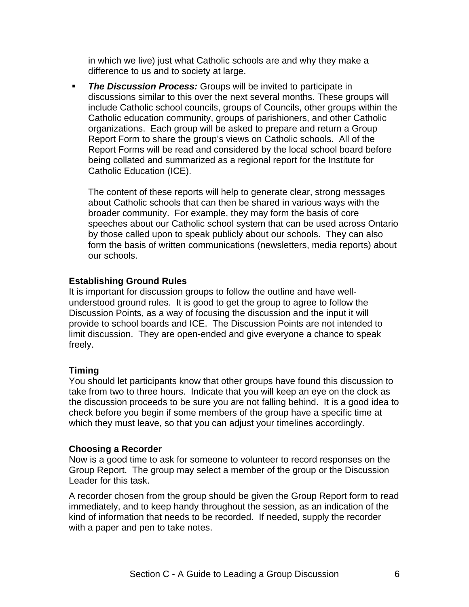in which we live) just what Catholic schools are and why they make a difference to us and to society at large.

**The Discussion Process:** Groups will be invited to participate in discussions similar to this over the next several months. These groups will include Catholic school councils, groups of Councils, other groups within the Catholic education community, groups of parishioners, and other Catholic organizations. Each group will be asked to prepare and return a Group Report Form to share the group's views on Catholic schools. All of the Report Forms will be read and considered by the local school board before being collated and summarized as a regional report for the Institute for Catholic Education (ICE).

The content of these reports will help to generate clear, strong messages about Catholic schools that can then be shared in various ways with the broader community. For example, they may form the basis of core speeches about our Catholic school system that can be used across Ontario by those called upon to speak publicly about our schools. They can also form the basis of written communications (newsletters, media reports) about our schools.

## **Establishing Ground Rules**

It is important for discussion groups to follow the outline and have wellunderstood ground rules. It is good to get the group to agree to follow the Discussion Points, as a way of focusing the discussion and the input it will provide to school boards and ICE. The Discussion Points are not intended to limit discussion. They are open-ended and give everyone a chance to speak freely.

## **Timing**

You should let participants know that other groups have found this discussion to take from two to three hours. Indicate that you will keep an eye on the clock as the discussion proceeds to be sure you are not falling behind. It is a good idea to check before you begin if some members of the group have a specific time at which they must leave, so that you can adjust your timelines accordingly.

## **Choosing a Recorder**

Now is a good time to ask for someone to volunteer to record responses on the Group Report. The group may select a member of the group or the Discussion Leader for this task.

A recorder chosen from the group should be given the Group Report form to read immediately, and to keep handy throughout the session, as an indication of the kind of information that needs to be recorded. If needed, supply the recorder with a paper and pen to take notes.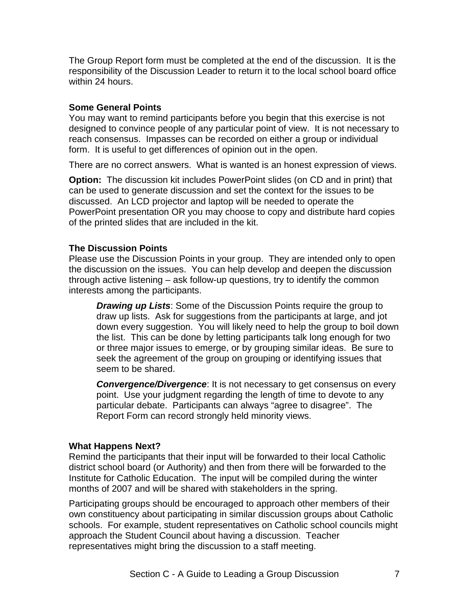The Group Report form must be completed at the end of the discussion. It is the responsibility of the Discussion Leader to return it to the local school board office within 24 hours.

## **Some General Points**

You may want to remind participants before you begin that this exercise is not designed to convince people of any particular point of view. It is not necessary to reach consensus. Impasses can be recorded on either a group or individual form. It is useful to get differences of opinion out in the open.

There are no correct answers. What is wanted is an honest expression of views.

**Option:** The discussion kit includes PowerPoint slides (on CD and in print) that can be used to generate discussion and set the context for the issues to be discussed. An LCD projector and laptop will be needed to operate the PowerPoint presentation OR you may choose to copy and distribute hard copies of the printed slides that are included in the kit.

## **The Discussion Points**

Please use the Discussion Points in your group. They are intended only to open the discussion on the issues. You can help develop and deepen the discussion through active listening – ask follow-up questions, try to identify the common interests among the participants.

*Drawing up Lists*: Some of the Discussion Points require the group to draw up lists. Ask for suggestions from the participants at large, and jot down every suggestion. You will likely need to help the group to boil down the list. This can be done by letting participants talk long enough for two or three major issues to emerge, or by grouping similar ideas. Be sure to seek the agreement of the group on grouping or identifying issues that seem to be shared.

*Convergence/Divergence*: It is not necessary to get consensus on every point. Use your judgment regarding the length of time to devote to any particular debate. Participants can always "agree to disagree". The Report Form can record strongly held minority views.

#### **What Happens Next?**

Remind the participants that their input will be forwarded to their local Catholic district school board (or Authority) and then from there will be forwarded to the Institute for Catholic Education. The input will be compiled during the winter months of 2007 and will be shared with stakeholders in the spring.

Participating groups should be encouraged to approach other members of their own constituency about participating in similar discussion groups about Catholic schools. For example, student representatives on Catholic school councils might approach the Student Council about having a discussion. Teacher representatives might bring the discussion to a staff meeting.